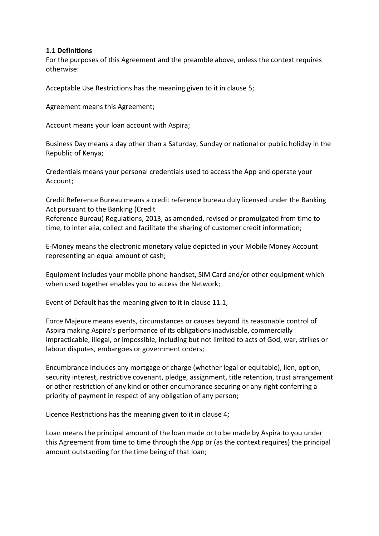## **1.1 Definitions**

For the purposes of this Agreement and the preamble above, unless the context requires otherwise:

Acceptable Use Restrictions has the meaning given to it in clause 5;

Agreement means this Agreement;

Account means your loan account with Aspira;

Business Day means a day other than a Saturday, Sunday or national or public holiday in the Republic of Kenya;

Credentials means your personal credentials used to access the App and operate your Account;

Credit Reference Bureau means a credit reference bureau duly licensed under the Banking Act pursuant to the Banking (Credit

Reference Bureau) Regulations, 2013, as amended, revised or promulgated from time to time, to inter alia, collect and facilitate the sharing of customer credit information;

E-Money means the electronic monetary value depicted in your Mobile Money Account representing an equal amount of cash;

Equipment includes your mobile phone handset, SIM Card and/or other equipment which when used together enables you to access the Network;

Event of Default has the meaning given to it in clause 11.1;

Force Majeure means events, circumstances or causes beyond its reasonable control of Aspira making Aspira's performance of its obligations inadvisable, commercially impracticable, illegal, or impossible, including but not limited to acts of God, war, strikes or labour disputes, embargoes or government orders;

Encumbrance includes any mortgage or charge (whether legal or equitable), lien, option, security interest, restrictive covenant, pledge, assignment, title retention, trust arrangement or other restriction of any kind or other encumbrance securing or any right conferring a priority of payment in respect of any obligation of any person;

Licence Restrictions has the meaning given to it in clause 4;

Loan means the principal amount of the loan made or to be made by Aspira to you under this Agreement from time to time through the App or (as the context requires) the principal amount outstanding for the time being of that loan;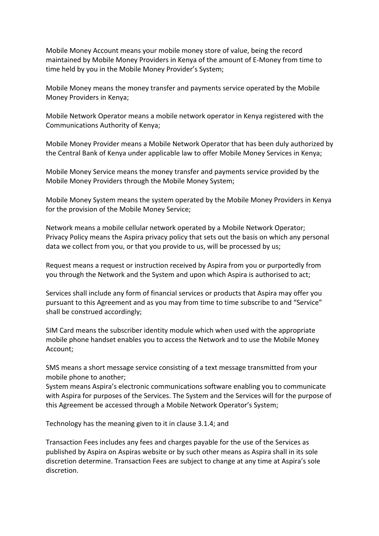Mobile Money Account means your mobile money store of value, being the record maintained by Mobile Money Providers in Kenya of the amount of E-Money from time to time held by you in the Mobile Money Provider's System;

Mobile Money means the money transfer and payments service operated by the Mobile Money Providers in Kenya;

Mobile Network Operator means a mobile network operator in Kenya registered with the Communications Authority of Kenya;

Mobile Money Provider means a Mobile Network Operator that has been duly authorized by the Central Bank of Kenya under applicable law to offer Mobile Money Services in Kenya;

Mobile Money Service means the money transfer and payments service provided by the Mobile Money Providers through the Mobile Money System;

Mobile Money System means the system operated by the Mobile Money Providers in Kenya for the provision of the Mobile Money Service;

Network means a mobile cellular network operated by a Mobile Network Operator; Privacy Policy means the Aspira privacy policy that sets out the basis on which any personal data we collect from you, or that you provide to us, will be processed by us;

Request means a request or instruction received by Aspira from you or purportedly from you through the Network and the System and upon which Aspira is authorised to act;

Services shall include any form of financial services or products that Aspira may offer you pursuant to this Agreement and as you may from time to time subscribe to and "Service" shall be construed accordingly;

SIM Card means the subscriber identity module which when used with the appropriate mobile phone handset enables you to access the Network and to use the Mobile Money Account;

SMS means a short message service consisting of a text message transmitted from your mobile phone to another;

System means Aspira's electronic communications software enabling you to communicate with Aspira for purposes of the Services. The System and the Services will for the purpose of this Agreement be accessed through a Mobile Network Operator's System;

Technology has the meaning given to it in clause 3.1.4; and

Transaction Fees includes any fees and charges payable for the use of the Services as published by Aspira on Aspiras website or by such other means as Aspira shall in its sole discretion determine. Transaction Fees are subject to change at any time at Aspira's sole discretion.